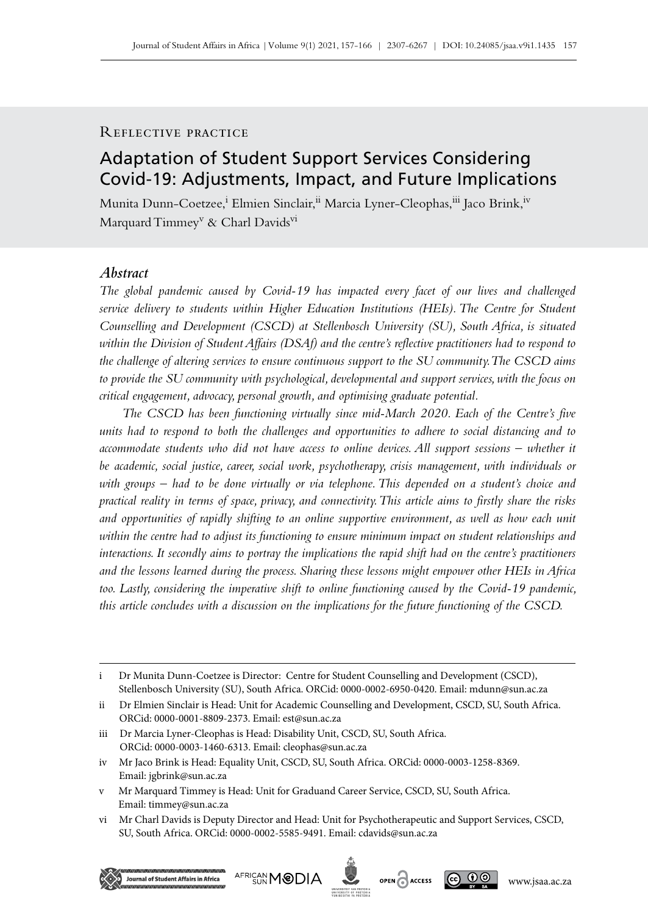# Reflective practice

# Adaptation of Student Support Services Considering Covid‑19: Adjustments, Impact, and Future Implications

Munita Dunn-Coetzee,<sup>i</sup> Elmien Sinclair,<sup>ii</sup> Marcia Lyner-Cleophas,<sup>iii</sup> Jaco Brink,<sup>iv</sup> Marquard Timmey<sup>v</sup> & Charl Davids<sup>vi</sup>

## *Abstract*

*The global pandemic caused by Covid‑19 has impacted every facet of our lives and challenged service delivery to students within Higher Education Institutions (HEIs). The Centre for Student Counselling and Development (CSCD) at Stellenbosch University (SU), South Africa, is situated within the Division of Student Affairs (DSAf) and the centre's reflective practitioners had to respond to the challenge of altering services to ensure continuous support to the SU community. The CSCD aims to provide the SU community with psychological, developmental and support services, with the focus on critical engagement, advocacy, personal growth, and optimising graduate potential.* 

*The CSCD has been functioning virtually since mid-March 2020. Each of the Centre's five units had to respond to both the challenges and opportunities to adhere to social distancing and to accommodate students who did not have access to online devices. All support sessions – whether it be academic, social justice, career, social work, psychotherapy, crisis management, with individuals or*  with groups – had to be done virtually or via telephone. This depended on a student's choice and *practical reality in terms of space, privacy, and connectivity. This article aims to firstly share the risks and opportunities of rapidly shifting to an online supportive environment, as well as how each unit within the centre had to adjust its functioning to ensure minimum impact on student relationships and interactions. It secondly aims to portray the implications the rapid shift had on the centre's practitioners and the lessons learned during the process. Sharing these lessons might empower other HEIs in Africa too. Lastly, considering the imperative shift to online functioning caused by the Covid‑19 pandemic, this article concludes with a discussion on the implications for the future functioning of the CSCD.*





i Dr Munita Dunn-Coetzee is Director: Centre for Student Counselling and Development (CSCD), Stellenbosch University (SU), South Africa. ORCid: 0000-0002-6950-0420. Email: [mdunn@sun.ac.za](mailto:mdunn%40sun.ac.za?subject=)

ii Dr Elmien Sinclair is Head: Unit for Academic Counselling and Development, CSCD, SU, South Africa. ORCid: 0000-0001-8809-2373. Email: [est@sun.ac.za](mailto:est%40sun.ac.za?subject=)

iii Dr Marcia Lyner-Cleophas is Head: Disability Unit, CSCD, SU, South Africa. ORCid: 0000-0003-1460-6313. Email: [cleophas@sun.ac.za](mailto:cleophas%40sun.ac.za?subject=)

iv Mr Jaco Brink is Head: Equality Unit, CSCD, SU, South Africa. ORCid: 0000-0003-1258-8369. Email: [jgbrink@sun.ac.za](mailto:jgbrink%40sun.ac.za?subject=)

v Mr Marquard Timmey is Head: Unit for Graduand Career Service, CSCD, SU, South Africa. Email: [timmey@sun.ac.za](mailto:timmey%40sun.ac.za?subject=)

vi Mr Charl Davids is Deputy Director and Head: Unit for Psychotherapeutic and Support Services, CSCD, SU, South Africa. ORCid: 0000-0002-5585-9491. Email: [cdavids@sun.ac.za](mailto:cdavids%40sun.ac.za?subject=)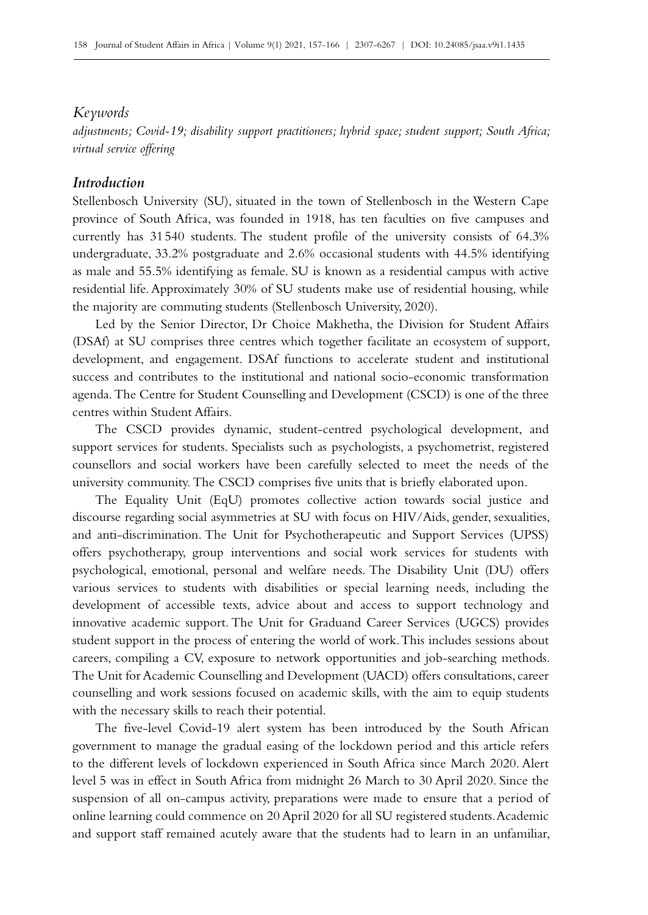## *Keywords*

*adjustments; Covid‑19; disability support practitioners; hybrid space; student support; South Africa; virtual service offering*

# *Introduction*

Stellenbosch University (SU), situated in the town of Stellenbosch in the Western Cape province of South Africa, was founded in 1918, has ten faculties on five campuses and currently has 31540 students. The student profile of the university consists of 64.3% undergraduate, 33.2% postgraduate and 2.6% occasional students with 44.5% identifying as male and 55.5% identifying as female. SU is known as a residential campus with active residential life. Approximately 30% of SU students make use of residential housing, while the majority are commuting students (Stellenbosch University, 2020).

Led by the Senior Director, Dr Choice Makhetha, the Division for Student Affairs (DSAf) at SU comprises three centres which together facilitate an ecosystem of support, development, and engagement. DSAf functions to accelerate student and institutional success and contributes to the institutional and national socio-economic transformation agenda. The Centre for Student Counselling and Development (CSCD) is one of the three centres within Student Affairs.

The CSCD provides dynamic, student-centred psychological development, and support services for students. Specialists such as psychologists, a psychometrist, registered counsellors and social workers have been carefully selected to meet the needs of the university community. The CSCD comprises five units that is briefly elaborated upon.

The Equality Unit (EqU) promotes collective action towards social justice and discourse regarding social asymmetries at SU with focus on HIV/Aids, gender, sexualities, and anti-discrimination. The Unit for Psychotherapeutic and Support Services (UPSS) offers psychotherapy, group interventions and social work services for students with psychological, emotional, personal and welfare needs. The Disability Unit (DU) offers various services to students with disabilities or special learning needs, including the development of accessible texts, advice about and access to support technology and innovative academic support. The Unit for Graduand Career Services (UGCS) provides student support in the process of entering the world of work. This includes sessions about careers, compiling a CV, exposure to network opportunities and job-searching methods. The Unit for Academic Counselling and Development (UACD) offers consultations, career counselling and work sessions focused on academic skills, with the aim to equip students with the necessary skills to reach their potential.

The five-level Covid-19 alert system has been introduced by the South African government to manage the gradual easing of the lockdown period and this article refers to the different levels of lockdown experienced in South Africa since March 2020. Alert level 5 was in effect in South Africa from midnight 26 March to 30 April 2020. Since the suspension of all on-campus activity, preparations were made to ensure that a period of online learning could commence on 20 April 2020 for all SU registered students. Academic and support staff remained acutely aware that the students had to learn in an unfamiliar,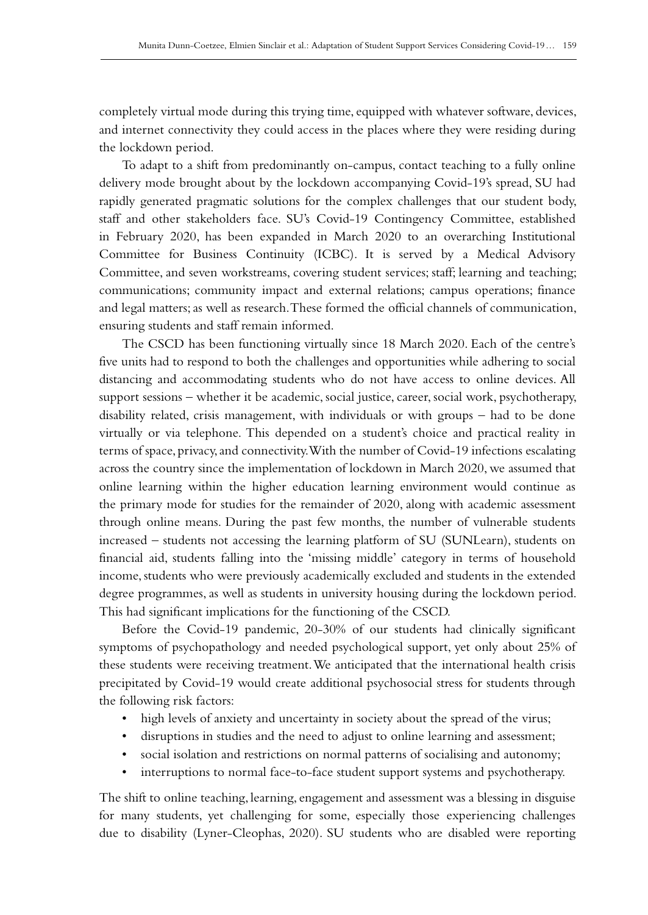completely virtual mode during this trying time, equipped with whatever software, devices, and internet connectivity they could access in the places where they were residing during the lockdown period.

To adapt to a shift from predominantly on‑campus, contact teaching to a fully online delivery mode brought about by the lockdown accompanying Covid‑19's spread, SU had rapidly generated pragmatic solutions for the complex challenges that our student body, staff and other stakeholders face. SU's Covid-19 Contingency Committee, established in February 2020, has been expanded in March 2020 to an overarching Institutional Committee for Business Continuity (ICBC). It is served by a Medical Advisory Committee, and seven workstreams, covering student services; staff; learning and teaching; communications; community impact and external relations; campus operations; finance and legal matters; as well as research. These formed the official channels of communication, ensuring students and staff remain informed.

The CSCD has been functioning virtually since 18 March 2020. Each of the centre's five units had to respond to both the challenges and opportunities while adhering to social distancing and accommodating students who do not have access to online devices. All support sessions – whether it be academic, social justice, career, social work, psychotherapy, disability related, crisis management, with individuals or with groups – had to be done virtually or via telephone. This depended on a student's choice and practical reality in terms of space, privacy, and connectivity. With the number of Covid-19 infections escalating across the country since the implementation of lockdown in March 2020, we assumed that online learning within the higher education learning environment would continue as the primary mode for studies for the remainder of 2020, along with academic assessment through online means. During the past few months, the number of vulnerable students increased – students not accessing the learning platform of SU (SUNLearn), students on financial aid, students falling into the 'missing middle' category in terms of household income, students who were previously academically excluded and students in the extended degree programmes, as well as students in university housing during the lockdown period. This had significant implications for the functioning of the CSCD.

Before the Covid-19 pandemic, 20-30% of our students had clinically significant symptoms of psychopathology and needed psychological support, yet only about 25% of these students were receiving treatment. We anticipated that the international health crisis precipitated by Covid‑19 would create additional psychosocial stress for students through the following risk factors:

- high levels of anxiety and uncertainty in society about the spread of the virus;
- disruptions in studies and the need to adjust to online learning and assessment;
- social isolation and restrictions on normal patterns of socialising and autonomy;
- interruptions to normal face-to-face student support systems and psychotherapy.

The shift to online teaching, learning, engagement and assessment was a blessing in disguise for many students, yet challenging for some, especially those experiencing challenges due to disability (Lyner-Cleophas, 2020). SU students who are disabled were reporting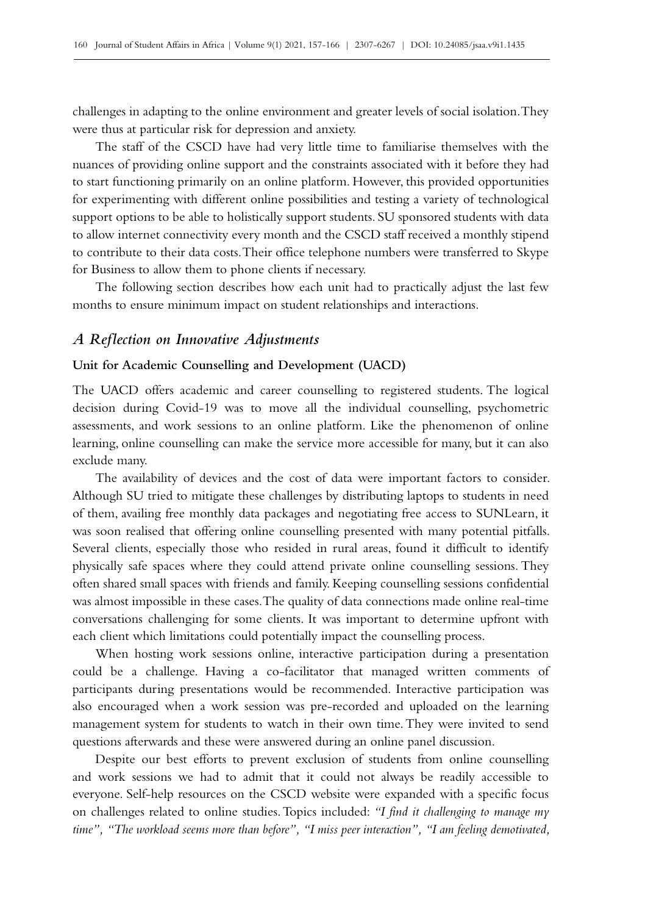challenges in adapting to the online environment and greater levels of social isolation. They were thus at particular risk for depression and anxiety.

The staff of the CSCD have had very little time to familiarise themselves with the nuances of providing online support and the constraints associated with it before they had to start functioning primarily on an online platform. However, this provided opportunities for experimenting with different online possibilities and testing a variety of technological support options to be able to holistically support students. SU sponsored students with data to allow internet connectivity every month and the CSCD staff received a monthly stipend to contribute to their data costs. Their office telephone numbers were transferred to Skype for Business to allow them to phone clients if necessary.

The following section describes how each unit had to practically adjust the last few months to ensure minimum impact on student relationships and interactions.

## *A Reflection on Innovative Adjustments*

#### **Unit for Academic Counselling and Development (UACD)**

The UACD offers academic and career counselling to registered students. The logical decision during Covid‑19 was to move all the individual counselling, psychometric assessments, and work sessions to an online platform. Like the phenomenon of online learning, online counselling can make the service more accessible for many, but it can also exclude many.

The availability of devices and the cost of data were important factors to consider. Although SU tried to mitigate these challenges by distributing laptops to students in need of them, availing free monthly data packages and negotiating free access to SUNLearn, it was soon realised that offering online counselling presented with many potential pitfalls. Several clients, especially those who resided in rural areas, found it difficult to identify physically safe spaces where they could attend private online counselling sessions. They often shared small spaces with friends and family. Keeping counselling sessions confidential was almost impossible in these cases. The quality of data connections made online real-time conversations challenging for some clients. It was important to determine upfront with each client which limitations could potentially impact the counselling process.

When hosting work sessions online, interactive participation during a presentation could be a challenge. Having a co-facilitator that managed written comments of participants during presentations would be recommended. Interactive participation was also encouraged when a work session was pre‑recorded and uploaded on the learning management system for students to watch in their own time. They were invited to send questions afterwards and these were answered during an online panel discussion.

Despite our best efforts to prevent exclusion of students from online counselling and work sessions we had to admit that it could not always be readily accessible to everyone. Self-help resources on the CSCD website were expanded with a specific focus on challenges related to online studies. Topics included: *"I find it challenging to manage my time", "The workload seems more than before", "I miss peer interaction", "I am feeling demotivated,*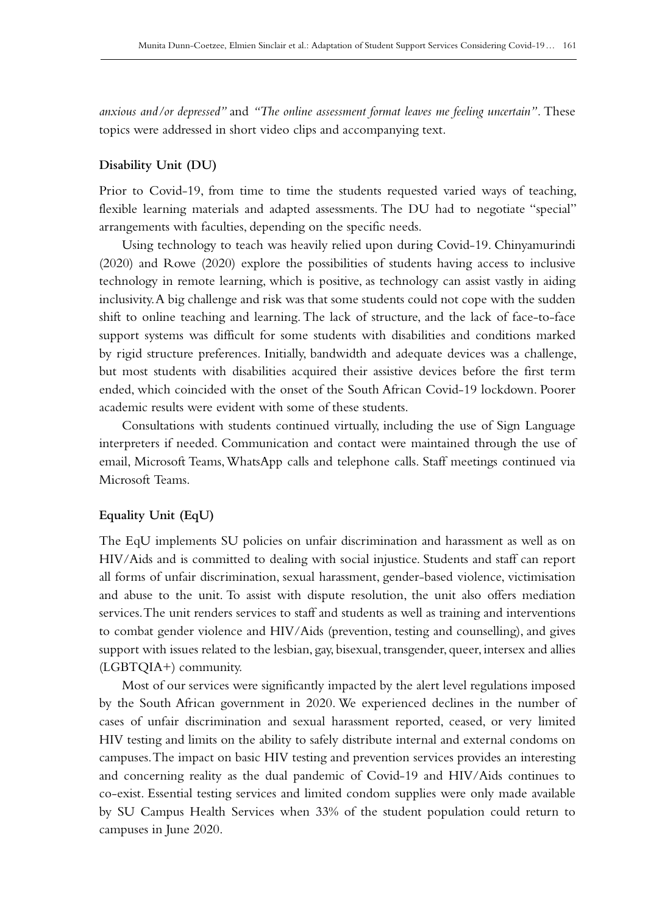*anxious and/or depressed"* and *"The online assessment format leaves me feeling uncertain".* These topics were addressed in short video clips and accompanying text.

## **Disability Unit (DU)**

Prior to Covid–19, from time to time the students requested varied ways of teaching, flexible learning materials and adapted assessments. The DU had to negotiate "special" arrangements with faculties, depending on the specific needs.

Using technology to teach was heavily relied upon during Covid‑19. Chinyamurindi (2020) and Rowe (2020) explore the possibilities of students having access to inclusive technology in remote learning, which is positive, as technology can assist vastly in aiding inclusivity. A big challenge and risk was that some students could not cope with the sudden shift to online teaching and learning. The lack of structure, and the lack of face-to-face support systems was difficult for some students with disabilities and conditions marked by rigid structure preferences. Initially, bandwidth and adequate devices was a challenge, but most students with disabilities acquired their assistive devices before the first term ended, which coincided with the onset of the South African Covid‑19 lockdown. Poorer academic results were evident with some of these students.

Consultations with students continued virtually, including the use of Sign Language interpreters if needed. Communication and contact were maintained through the use of email, Microsoft Teams, WhatsApp calls and telephone calls. Staff meetings continued via Microsoft Teams.

## **Equality Unit (EqU)**

The EqU implements SU policies on unfair discrimination and harassment as well as on HIV/Aids and is committed to dealing with social injustice. Students and staff can report all forms of unfair discrimination, sexual harassment, gender-based violence, victimisation and abuse to the unit. To assist with dispute resolution, the unit also offers mediation services. The unit renders services to staff and students as well as training and interventions to combat gender violence and HIV/Aids (prevention, testing and counselling), and gives support with issues related to the lesbian, gay, bisexual, transgender, queer, intersex and allies (LGBTQIA+) community.

Most of our services were significantly impacted by the alert level regulations imposed by the South African government in 2020. We experienced declines in the number of cases of unfair discrimination and sexual harassment reported, ceased, or very limited HIV testing and limits on the ability to safely distribute internal and external condoms on campuses. The impact on basic HIV testing and prevention services provides an interesting and concerning reality as the dual pandemic of Covid-19 and HIV/Aids continues to co-exist. Essential testing services and limited condom supplies were only made available by SU Campus Health Services when 33% of the student population could return to campuses in June 2020.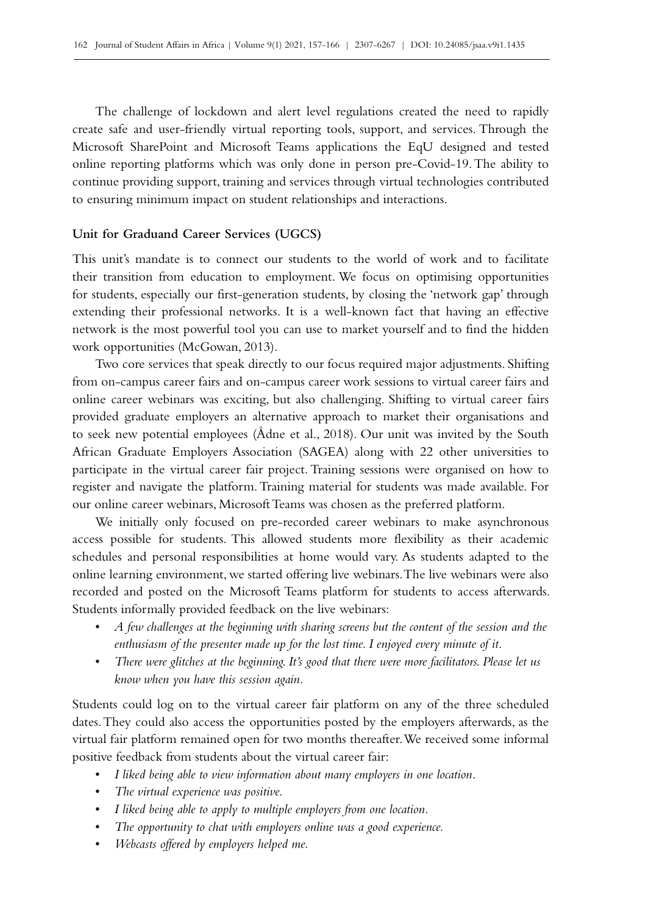The challenge of lockdown and alert level regulations created the need to rapidly create safe and user-friendly virtual reporting tools, support, and services. Through the Microsoft SharePoint and Microsoft Teams applications the EqU designed and tested online reporting platforms which was only done in person pre–Covid–19. The ability to continue providing support, training and services through virtual technologies contributed to ensuring minimum impact on student relationships and interactions.

#### **Unit for Graduand Career Services (UGCS)**

This unit's mandate is to connect our students to the world of work and to facilitate their transition from education to employment. We focus on optimising opportunities for students, especially our first-generation students, by closing the 'network gap' through extending their professional networks. It is a well-known fact that having an effective network is the most powerful tool you can use to market yourself and to find the hidden work opportunities (McGowan, 2013).

Two core services that speak directly to our focus required major adjustments. Shifting from on-campus career fairs and on-campus career work sessions to virtual career fairs and online career webinars was exciting, but also challenging. Shifting to virtual career fairs provided graduate employers an alternative approach to market their organisations and to seek new potential employees (Ådne et al., 2018). Our unit was invited by the South African Graduate Employers Association (SAGEA) along with 22 other universities to participate in the virtual career fair project. Training sessions were organised on how to register and navigate the platform. Training material for students was made available. For our online career webinars, Microsoft Teams was chosen as the preferred platform.

We initially only focused on pre-recorded career webinars to make asynchronous access possible for students. This allowed students more flexibility as their academic schedules and personal responsibilities at home would vary. As students adapted to the online learning environment, we started offering live webinars. The live webinars were also recorded and posted on the Microsoft Teams platform for students to access afterwards. Students informally provided feedback on the live webinars:

- *A few challenges at the beginning with sharing screens but the content of the session and the enthusiasm of the presenter made up for the lost time. I enjoyed every minute of it.*
- *There were glitches at the beginning. It's good that there were more facilitators. Please let us know when you have this session again.*

Students could log on to the virtual career fair platform on any of the three scheduled dates. They could also access the opportunities posted by the employers afterwards, as the virtual fair platform remained open for two months thereafter. We received some informal positive feedback from students about the virtual career fair:

- *I liked being able to view information about many employers in one location.*
- *The virtual experience was positive.*
- *I liked being able to apply to multiple employers from one location.*
- *The opportunity to chat with employers online was a good experience.*
- *Webcasts offered by employers helped me.*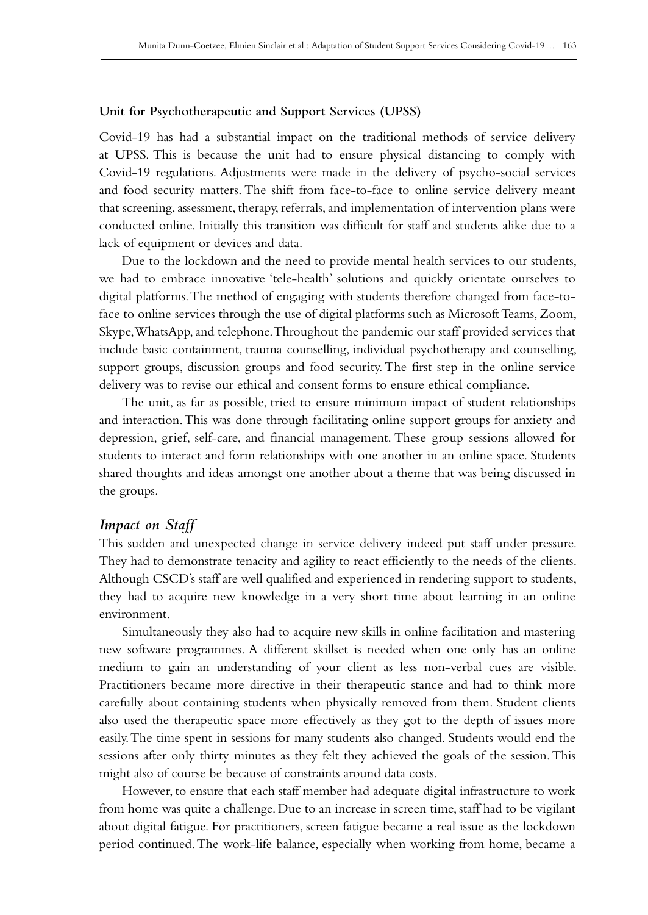#### **Unit for Psychotherapeutic and Support Services (UPSS)**

Covid‑19 has had a substantial impact on the traditional methods of service delivery at UPSS. This is because the unit had to ensure physical distancing to comply with Covid‑19 regulations. Adjustments were made in the delivery of psycho-social services and food security matters. The shift from face-to-face to online service delivery meant that screening, assessment, therapy, referrals, and implementation of intervention plans were conducted online. Initially this transition was difficult for staff and students alike due to a lack of equipment or devices and data.

Due to the lockdown and the need to provide mental health services to our students, we had to embrace innovative 'tele-health' solutions and quickly orientate ourselves to digital platforms. The method of engaging with students therefore changed from face-toface to online services through the use of digital platforms such as Microsoft Teams, Zoom, Skype, WhatsApp, and telephone. Throughout the pandemic our staff provided services that include basic containment, trauma counselling, individual psychotherapy and counselling, support groups, discussion groups and food security. The first step in the online service delivery was to revise our ethical and consent forms to ensure ethical compliance.

The unit, as far as possible, tried to ensure minimum impact of student relationships and interaction. This was done through facilitating online support groups for anxiety and depression, grief, self-care, and financial management. These group sessions allowed for students to interact and form relationships with one another in an online space. Students shared thoughts and ideas amongst one another about a theme that was being discussed in the groups.

## *Impact on Staff*

This sudden and unexpected change in service delivery indeed put staff under pressure. They had to demonstrate tenacity and agility to react efficiently to the needs of the clients. Although CSCD's staff are well qualified and experienced in rendering support to students, they had to acquire new knowledge in a very short time about learning in an online environment.

Simultaneously they also had to acquire new skills in online facilitation and mastering new software programmes. A different skillset is needed when one only has an online medium to gain an understanding of your client as less non-verbal cues are visible. Practitioners became more directive in their therapeutic stance and had to think more carefully about containing students when physically removed from them. Student clients also used the therapeutic space more effectively as they got to the depth of issues more easily. The time spent in sessions for many students also changed. Students would end the sessions after only thirty minutes as they felt they achieved the goals of the session. This might also of course be because of constraints around data costs.

However, to ensure that each staff member had adequate digital infrastructure to work from home was quite a challenge. Due to an increase in screen time, staff had to be vigilant about digital fatigue. For practitioners, screen fatigue became a real issue as the lockdown period continued. The work-life balance, especially when working from home, became a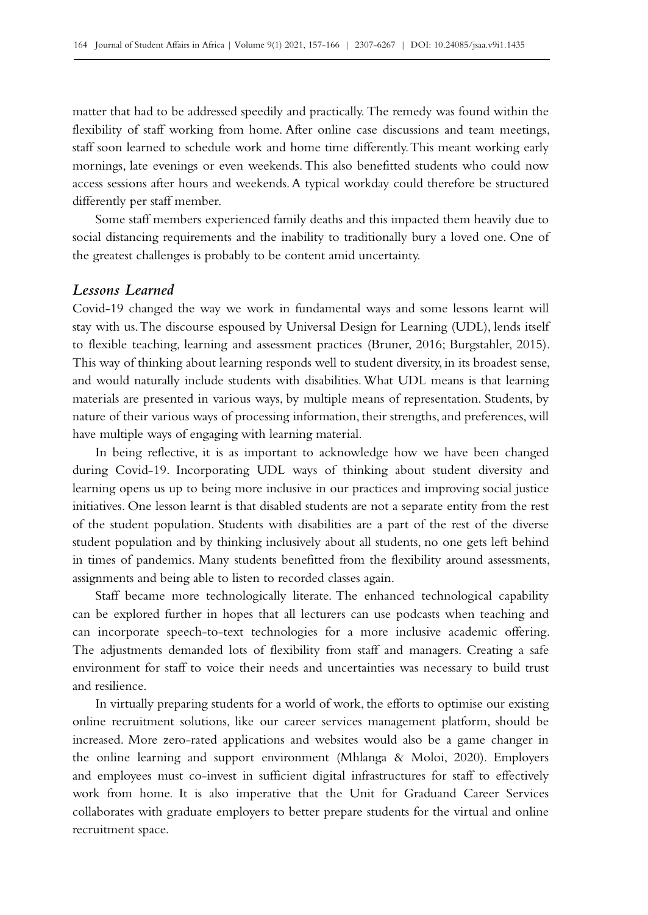matter that had to be addressed speedily and practically. The remedy was found within the flexibility of staff working from home. After online case discussions and team meetings, staff soon learned to schedule work and home time differently. This meant working early mornings, late evenings or even weekends. This also benefitted students who could now access sessions after hours and weekends. A typical workday could therefore be structured differently per staff member.

Some staff members experienced family deaths and this impacted them heavily due to social distancing requirements and the inability to traditionally bury a loved one. One of the greatest challenges is probably to be content amid uncertainty.

## *Lessons Learned*

Covid‑19 changed the way we work in fundamental ways and some lessons learnt will stay with us. The discourse espoused by Universal Design for Learning (UDL), lends itself to flexible teaching, learning and assessment practices (Bruner, 2016; Burgstahler, 2015). This way of thinking about learning responds well to student diversity, in its broadest sense, and would naturally include students with disabilities. What UDL means is that learning materials are presented in various ways, by multiple means of representation. Students, by nature of their various ways of processing information, their strengths, and preferences, will have multiple ways of engaging with learning material.

In being reflective, it is as important to acknowledge how we have been changed during Covid-19. Incorporating UDL ways of thinking about student diversity and learning opens us up to being more inclusive in our practices and improving social justice initiatives. One lesson learnt is that disabled students are not a separate entity from the rest of the student population. Students with disabilities are a part of the rest of the diverse student population and by thinking inclusively about all students, no one gets left behind in times of pandemics. Many students benefitted from the flexibility around assessments, assignments and being able to listen to recorded classes again.

Staff became more technologically literate. The enhanced technological capability can be explored further in hopes that all lecturers can use podcasts when teaching and can incorporate speech-to-text technologies for a more inclusive academic offering. The adjustments demanded lots of flexibility from staff and managers. Creating a safe environment for staff to voice their needs and uncertainties was necessary to build trust and resilience.

In virtually preparing students for a world of work, the efforts to optimise our existing online recruitment solutions, like our career services management platform, should be increased. More zero-rated applications and websites would also be a game changer in the online learning and support environment (Mhlanga & Moloi, 2020). Employers and employees must co-invest in sufficient digital infrastructures for staff to effectively work from home. It is also imperative that the Unit for Graduand Career Services collaborates with graduate employers to better prepare students for the virtual and online recruitment space.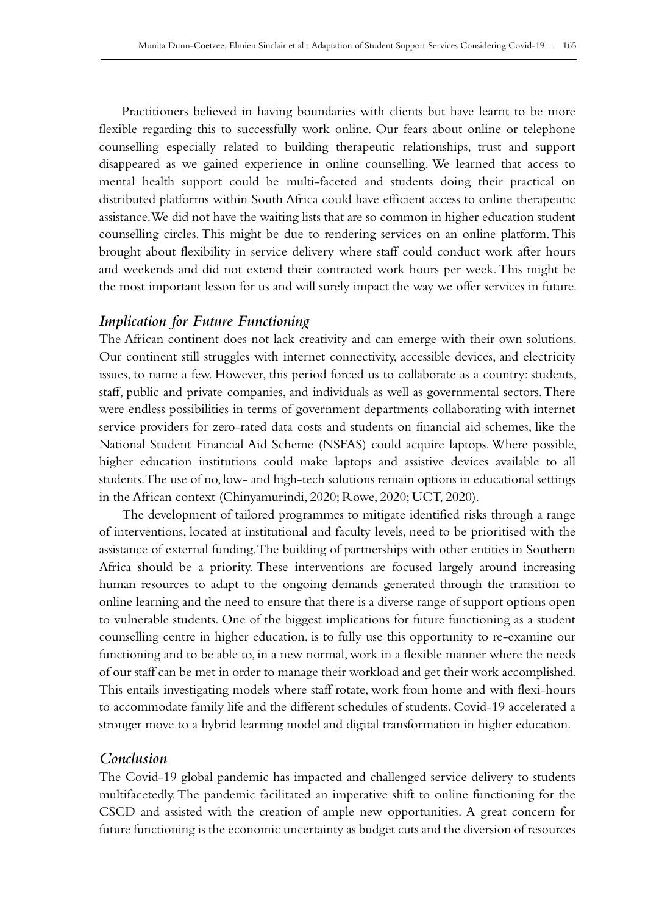Practitioners believed in having boundaries with clients but have learnt to be more flexible regarding this to successfully work online. Our fears about online or telephone counselling especially related to building therapeutic relationships, trust and support disappeared as we gained experience in online counselling. We learned that access to mental health support could be multi-faceted and students doing their practical on distributed platforms within South Africa could have efficient access to online therapeutic assistance. We did not have the waiting lists that are so common in higher education student counselling circles. This might be due to rendering services on an online platform. This brought about flexibility in service delivery where staff could conduct work after hours and weekends and did not extend their contracted work hours per week. This might be the most important lesson for us and will surely impact the way we offer services in future.

## *Implication for Future Functioning*

The African continent does not lack creativity and can emerge with their own solutions. Our continent still struggles with internet connectivity, accessible devices, and electricity issues, to name a few. However, this period forced us to collaborate as a country: students, staff, public and private companies, and individuals as well as governmental sectors. There were endless possibilities in terms of government departments collaborating with internet service providers for zero-rated data costs and students on financial aid schemes, like the National Student Financial Aid Scheme (NSFAS) could acquire laptops. Where possible, higher education institutions could make laptops and assistive devices available to all students. The use of no, low- and high-tech solutions remain options in educational settings in the African context (Chinyamurindi, 2020; Rowe, 2020; UCT, 2020).

The development of tailored programmes to mitigate identified risks through a range of interventions, located at institutional and faculty levels, need to be prioritised with the assistance of external funding. The building of partnerships with other entities in Southern Africa should be a priority. These interventions are focused largely around increasing human resources to adapt to the ongoing demands generated through the transition to online learning and the need to ensure that there is a diverse range of support options open to vulnerable students. One of the biggest implications for future functioning as a student counselling centre in higher education, is to fully use this opportunity to re‑examine our functioning and to be able to, in a new normal, work in a flexible manner where the needs of our staff can be met in order to manage their workload and get their work accomplished. This entails investigating models where staff rotate, work from home and with flexi-hours to accommodate family life and the different schedules of students. Covid-19 accelerated a stronger move to a hybrid learning model and digital transformation in higher education.

## *Conclusion*

The Covid‑19 global pandemic has impacted and challenged service delivery to students multifacetedly. The pandemic facilitated an imperative shift to online functioning for the CSCD and assisted with the creation of ample new opportunities. A great concern for future functioning is the economic uncertainty as budget cuts and the diversion of resources